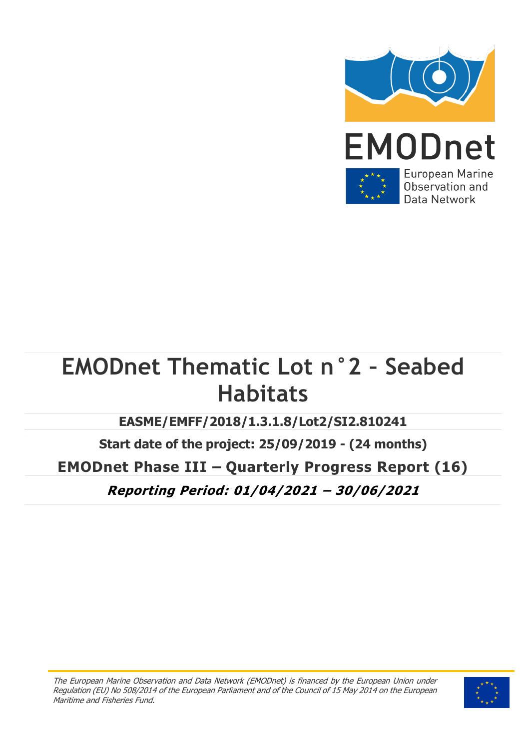

# **EMODnet Thematic Lot n°2 – Seabed Habitats**

**EASME/EMFF/2018/1.3.1.8/Lot2/SI2.810241**

**Start date of the project: 25/09/2019 - (24 months) EMODnet Phase III – Quarterly Progress Report (16) Reporting Period: 01/04/2021 – 30/06/2021**

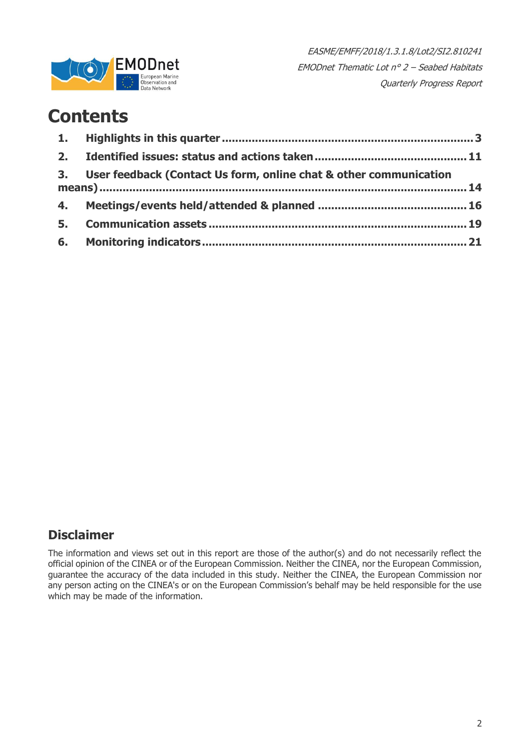

### **Contents**

|                | 3. User feedback (Contact Us form, online chat & other communication |  |
|----------------|----------------------------------------------------------------------|--|
|                |                                                                      |  |
| 5 <sub>1</sub> |                                                                      |  |
|                |                                                                      |  |

### **Disclaimer**

The information and views set out in this report are those of the author(s) and do not necessarily reflect the official opinion of the CINEA or of the European Commission. Neither the CINEA, nor the European Commission, guarantee the accuracy of the data included in this study. Neither the CINEA, the European Commission nor any person acting on the CINEA's or on the European Commission's behalf may be held responsible for the use which may be made of the information.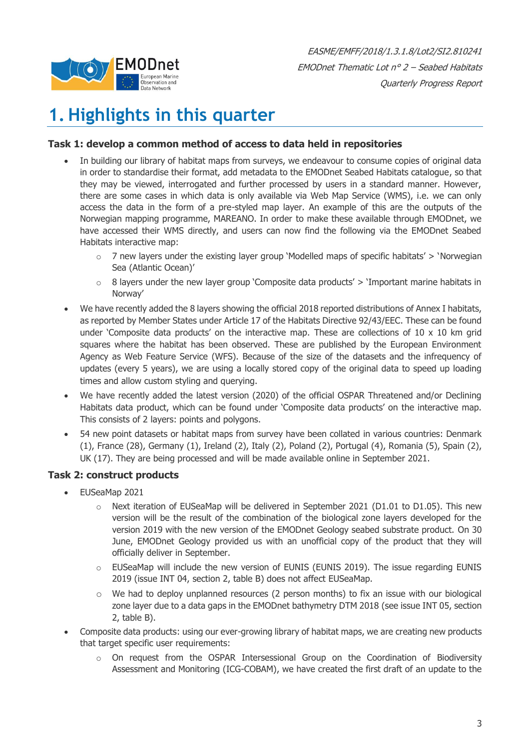

## <span id="page-2-0"></span>**1. Highlights in this quarter**

#### **Task 1: develop a common method of access to data held in repositories**

- In building our library of habitat maps from surveys, we endeavour to consume copies of original data in order to standardise their format, add metadata to the EMODnet Seabed Habitats catalogue, so that they may be viewed, interrogated and further processed by users in a standard manner. However, there are some cases in which data is only available via Web Map Service (WMS), i.e. we can only access the data in the form of a pre-styled map layer. An example of this are the outputs of the Norwegian mapping programme, MAREANO. In order to make these available through EMODnet, we have accessed their WMS directly, and users can now find the following via the EMODnet Seabed Habitats interactive map:
	- $\circ$  7 new layers under the existing layer group 'Modelled maps of specific habitats' > 'Norwegian Sea (Atlantic Ocean)'
	- $\circ$  8 layers under the new layer group 'Composite data products'  $>$  'Important marine habitats in Norway'
- We have recently added the 8 layers showing the official 2018 reported distributions of Annex I habitats, as reported by Member States under Article 17 of the Habitats Directive 92/43/EEC. These can be found under 'Composite data products' on the interactive map. These are collections of  $10 \times 10$  km grid squares where the habitat has been observed. These are published by the European Environment Agency as Web Feature Service (WFS). Because of the size of the datasets and the infrequency of updates (every 5 years), we are using a locally stored copy of the original data to speed up loading times and allow custom styling and querying.
- We have recently added the latest version (2020) of the official OSPAR Threatened and/or Declining Habitats data product, which can be found under 'Composite data products' on the interactive map. This consists of 2 layers: points and polygons.
- 54 new point datasets or habitat maps from survey have been collated in various countries: Denmark (1), France (28), Germany (1), Ireland (2), Italy (2), Poland (2), Portugal (4), Romania (5), Spain (2), UK (17). They are being processed and will be made available online in September 2021.

#### **Task 2: construct products**

- EUSeaMap 2021
	- Next iteration of EUSeaMap will be delivered in September 2021 (D1.01 to D1.05). This new version will be the result of the combination of the biological zone layers developed for the version 2019 with the new version of the EMODnet Geology seabed substrate product. On 30 June, EMODnet Geology provided us with an unofficial copy of the product that they will officially deliver in September.
	- $\circ$  EUSeaMap will include the new version of EUNIS (EUNIS 2019). The issue regarding EUNIS 2019 (issue INT 04, section 2, table B) does not affect EUSeaMap.
	- $\circ$  We had to deploy unplanned resources (2 person months) to fix an issue with our biological zone layer due to a data gaps in the EMODnet bathymetry DTM 2018 (see issue INT 05, section 2, table B).
- Composite data products: using our ever-growing library of habitat maps, we are creating new products that target specific user requirements:
	- o On request from the OSPAR Intersessional Group on the Coordination of Biodiversity Assessment and Monitoring (ICG-COBAM), we have created the first draft of an update to the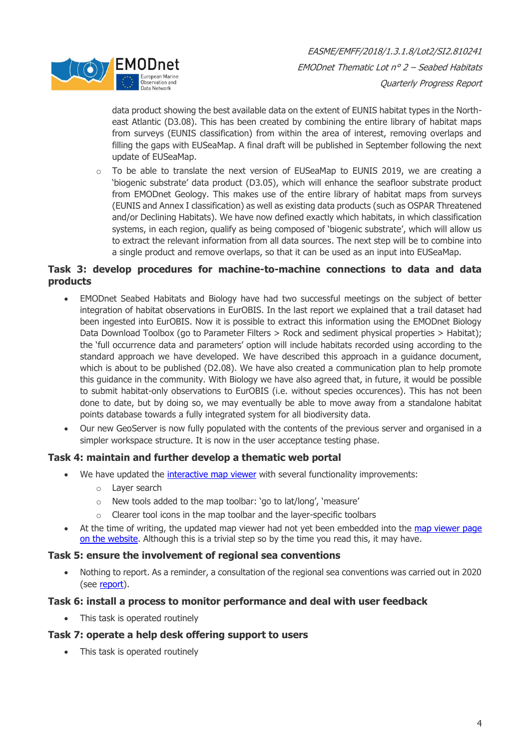

data product showing the best available data on the extent of EUNIS habitat types in the Northeast Atlantic (D3.08). This has been created by combining the entire library of habitat maps from surveys (EUNIS classification) from within the area of interest, removing overlaps and filling the gaps with EUSeaMap. A final draft will be published in September following the next update of EUSeaMap.

o To be able to translate the next version of EUSeaMap to EUNIS 2019, we are creating a 'biogenic substrate' data product (D3.05), which will enhance the seafloor substrate product from EMODnet Geology. This makes use of the entire library of habitat maps from surveys (EUNIS and Annex I classification) as well as existing data products (such as OSPAR Threatened and/or Declining Habitats). We have now defined exactly which habitats, in which classification systems, in each region, qualify as being composed of 'biogenic substrate', which will allow us to extract the relevant information from all data sources. The next step will be to combine into a single product and remove overlaps, so that it can be used as an input into EUSeaMap.

#### **Task 3: develop procedures for machine-to-machine connections to data and data products**

- EMODnet Seabed Habitats and Biology have had two successful meetings on the subject of better integration of habitat observations in EurOBIS. In the last report we explained that a trail dataset had been ingested into EurOBIS. Now it is possible to extract this information using the EMODnet Biology Data Download Toolbox (go to Parameter Filters > Rock and sediment physical properties > Habitat); the 'full occurrence data and parameters' option will include habitats recorded using according to the standard approach we have developed. We have described this approach in a guidance document, which is about to be published (D2.08). We have also created a communication plan to help promote this guidance in the community. With Biology we have also agreed that, in future, it would be possible to submit habitat-only observations to EurOBIS (i.e. without species occurences). This has not been done to date, but by doing so, we may eventually be able to move away from a standalone habitat points database towards a fully integrated system for all biodiversity data.
- Our new GeoServer is now fully populated with the contents of the previous server and organised in a simpler workspace structure. It is now in the user acceptance testing phase.

#### **Task 4: maintain and further develop a thematic web portal**

- We have updated the [interactive map viewer](https://live-map.emodnet-seabedhabitats.eu/) with several functionality improvements:
	- o Layer search
	- o New tools added to the map toolbar: 'go to lat/long', 'measure'
	- o Clearer tool icons in the map toolbar and the layer-specific toolbars
- At the time of writing, the updated map viewer had not yet been embedded into the map viewer page [on the website.](https://www.emodnet-seabedhabitats.eu/access-data/launch-map-viewer/?zoom=4¢er=-3.508,52.305&layerIds=1&baseLayerId=-3&activeFilters=) Although this is a trivial step so by the time you read this, it may have.

#### **Task 5: ensure the involvement of regional sea conventions**

• Nothing to report. As a reminder, a consultation of the regional sea conventions was carried out in 2020 (see [report\)](https://www.emodnet-seabedhabitats.eu/media/1829/emodnetseabedhabitats_reviewofstakeholderneedsforcompositeproducts.pdf).

#### **Task 6: install a process to monitor performance and deal with user feedback**

• This task is operated routinely

#### **Task 7: operate a help desk offering support to users**

• This task is operated routinely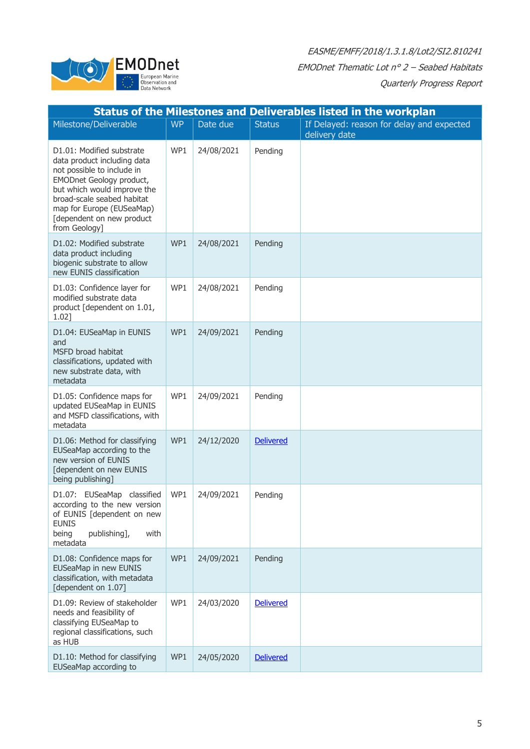

|                                                                                                                                                                                                                                                                   |           |            |                  | <b>Status of the Milestones and Deliverables listed in the workplan</b> |
|-------------------------------------------------------------------------------------------------------------------------------------------------------------------------------------------------------------------------------------------------------------------|-----------|------------|------------------|-------------------------------------------------------------------------|
| Milestone/Deliverable                                                                                                                                                                                                                                             | <b>WP</b> | Date due   | <b>Status</b>    | If Delayed: reason for delay and expected<br>delivery date              |
| D1.01: Modified substrate<br>data product including data<br>not possible to include in<br><b>EMODnet Geology product,</b><br>but which would improve the<br>broad-scale seabed habitat<br>map for Europe (EUSeaMap)<br>[dependent on new product<br>from Geology] | WP1       | 24/08/2021 | Pending          |                                                                         |
| D1.02: Modified substrate<br>data product including<br>biogenic substrate to allow<br>new EUNIS classification                                                                                                                                                    | WP1       | 24/08/2021 | Pending          |                                                                         |
| D1.03: Confidence layer for<br>modified substrate data<br>product [dependent on 1.01,<br>1.02]                                                                                                                                                                    | WP1       | 24/08/2021 | Pending          |                                                                         |
| D1.04: EUSeaMap in EUNIS<br>and<br>MSFD broad habitat<br>classifications, updated with<br>new substrate data, with<br>metadata                                                                                                                                    | WP1       | 24/09/2021 | Pending          |                                                                         |
| D1.05: Confidence maps for<br>updated EUSeaMap in EUNIS<br>and MSFD classifications, with<br>metadata                                                                                                                                                             | WP1       | 24/09/2021 | Pending          |                                                                         |
| D1.06: Method for classifying<br>EUSeaMap according to the<br>new version of EUNIS<br>[dependent on new EUNIS<br>being publishing]                                                                                                                                | WP1       | 24/12/2020 | <b>Delivered</b> |                                                                         |
| D1.07: EUSeaMap classified<br>according to the new version<br>of EUNIS [dependent on new<br><b>EUNIS</b><br>being<br>publishing],<br>with<br>metadata                                                                                                             | WP1       | 24/09/2021 | Pending          |                                                                         |
| D1.08: Confidence maps for<br><b>EUSeaMap in new EUNIS</b><br>classification, with metadata<br>[dependent on 1.07]                                                                                                                                                | WP1       | 24/09/2021 | Pending          |                                                                         |
| D1.09: Review of stakeholder<br>needs and feasibility of<br>classifying EUSeaMap to<br>regional classifications, such<br>as HUB                                                                                                                                   | WP1       | 24/03/2020 | <b>Delivered</b> |                                                                         |
| D1.10: Method for classifying<br>EUSeaMap according to                                                                                                                                                                                                            | WP1       | 24/05/2020 | <b>Delivered</b> |                                                                         |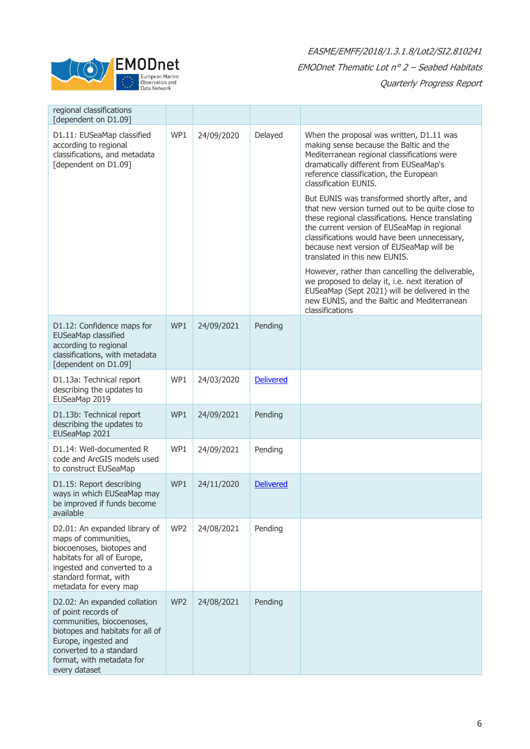

| regional classifications<br>[dependent on D1.09]                                                                                                                                                                      |     |            |                  |                                                                                                                                                                                                                                                                                                                                                     |
|-----------------------------------------------------------------------------------------------------------------------------------------------------------------------------------------------------------------------|-----|------------|------------------|-----------------------------------------------------------------------------------------------------------------------------------------------------------------------------------------------------------------------------------------------------------------------------------------------------------------------------------------------------|
| D1.11: EUSeaMap classified<br>according to regional<br>classifications, and metadata<br>[dependent on D1.09]                                                                                                          | WP1 | 24/09/2020 | Delayed          | When the proposal was written, D1.11 was<br>making sense because the Baltic and the<br>Mediterranean regional classifications were<br>dramatically different from EUSeaMap's<br>reference classification, the European<br>classification EUNIS.<br>But EUNIS was transformed shortly after, and<br>that new version turned out to be quite close to |
|                                                                                                                                                                                                                       |     |            |                  | these regional classifications. Hence translating<br>the current version of EUSeaMap in regional<br>classifications would have been unnecessary,<br>because next version of EUSeaMap will be<br>translated in this new EUNIS.                                                                                                                       |
|                                                                                                                                                                                                                       |     |            |                  | However, rather than cancelling the deliverable,<br>we proposed to delay it, i.e. next iteration of<br>EUSeaMap (Sept 2021) will be delivered in the<br>new EUNIS, and the Baltic and Mediterranean<br>classifications                                                                                                                              |
| D1.12: Confidence maps for<br>EUSeaMap classified<br>according to regional<br>classifications, with metadata<br>[dependent on D1.09]                                                                                  | WP1 | 24/09/2021 | Pending          |                                                                                                                                                                                                                                                                                                                                                     |
| D1.13a: Technical report<br>describing the updates to<br>EUSeaMap 2019                                                                                                                                                | WP1 | 24/03/2020 | <b>Delivered</b> |                                                                                                                                                                                                                                                                                                                                                     |
| D1.13b: Technical report<br>describing the updates to<br>EUSeaMap 2021                                                                                                                                                | WP1 | 24/09/2021 | Pending          |                                                                                                                                                                                                                                                                                                                                                     |
| D1.14: Well-documented R<br>code and ArcGIS models used<br>to construct EUSeaMap                                                                                                                                      | WP1 | 24/09/2021 | Pending          |                                                                                                                                                                                                                                                                                                                                                     |
| D1.15: Report describing<br>ways in which EUSeaMap may<br>be improved if funds become<br>available                                                                                                                    | WP1 | 24/11/2020 | <b>Delivered</b> |                                                                                                                                                                                                                                                                                                                                                     |
| D2.01: An expanded library of<br>maps of communities,<br>biocoenoses, biotopes and<br>habitats for all of Europe,<br>ingested and converted to a<br>standard format, with<br>metadata for every map                   | WP2 | 24/08/2021 | Pending          |                                                                                                                                                                                                                                                                                                                                                     |
| D2.02: An expanded collation<br>of point records of<br>communities, biocoenoses,<br>biotopes and habitats for all of<br>Europe, ingested and<br>converted to a standard<br>format, with metadata for<br>every dataset | WP2 | 24/08/2021 | Pending          |                                                                                                                                                                                                                                                                                                                                                     |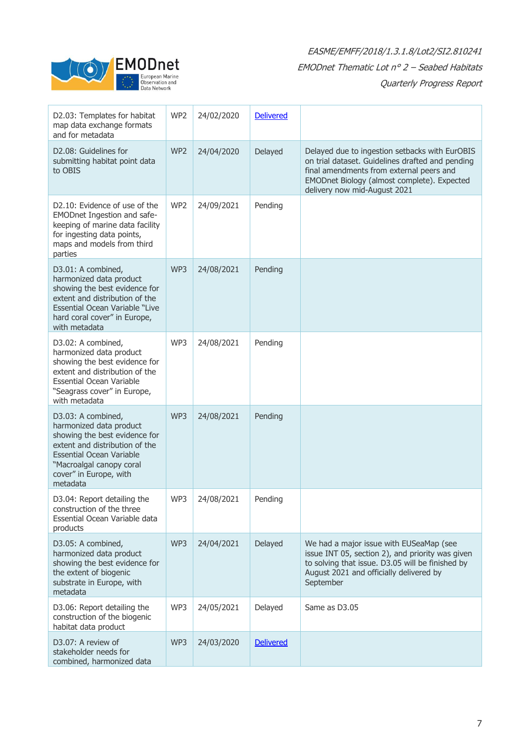

٦

| D2.03: Templates for habitat<br>map data exchange formats<br>and for metadata                                                                                                                                         | WP2             | 24/02/2020 | <b>Delivered</b> |                                                                                                                                                                                                                               |
|-----------------------------------------------------------------------------------------------------------------------------------------------------------------------------------------------------------------------|-----------------|------------|------------------|-------------------------------------------------------------------------------------------------------------------------------------------------------------------------------------------------------------------------------|
| D2.08: Guidelines for<br>submitting habitat point data<br>to OBIS                                                                                                                                                     | WP <sub>2</sub> | 24/04/2020 | Delayed          | Delayed due to ingestion setbacks with EurOBIS<br>on trial dataset. Guidelines drafted and pending<br>final amendments from external peers and<br>EMODnet Biology (almost complete). Expected<br>delivery now mid-August 2021 |
| D2.10: Evidence of use of the<br>EMODnet Ingestion and safe-<br>keeping of marine data facility<br>for ingesting data points,<br>maps and models from third<br>parties                                                | WP <sub>2</sub> | 24/09/2021 | Pending          |                                                                                                                                                                                                                               |
| D3.01: A combined,<br>harmonized data product<br>showing the best evidence for<br>extent and distribution of the<br>Essential Ocean Variable "Live<br>hard coral cover" in Europe,<br>with metadata                   | WP3             | 24/08/2021 | Pending          |                                                                                                                                                                                                                               |
| D3.02: A combined,<br>harmonized data product<br>showing the best evidence for<br>extent and distribution of the<br><b>Essential Ocean Variable</b><br>"Seagrass cover" in Europe,<br>with metadata                   | WP3             | 24/08/2021 | Pending          |                                                                                                                                                                                                                               |
| D3.03: A combined,<br>harmonized data product<br>showing the best evidence for<br>extent and distribution of the<br><b>Essential Ocean Variable</b><br>"Macroalgal canopy coral<br>cover" in Europe, with<br>metadata | WP3             | 24/08/2021 | Pending          |                                                                                                                                                                                                                               |
| D3.04: Report detailing the<br>construction of the three<br>Essential Ocean Variable data<br>products                                                                                                                 | WP3             | 24/08/2021 | Pending          |                                                                                                                                                                                                                               |
| D3.05: A combined,<br>harmonized data product<br>showing the best evidence for<br>the extent of biogenic<br>substrate in Europe, with<br>metadata                                                                     | WP3             | 24/04/2021 | Delayed          | We had a major issue with EUSeaMap (see<br>issue INT 05, section 2), and priority was given<br>to solving that issue. D3.05 will be finished by<br>August 2021 and officially delivered by<br>September                       |
| D3.06: Report detailing the<br>construction of the biogenic<br>habitat data product                                                                                                                                   | WP3             | 24/05/2021 | Delayed          | Same as D3.05                                                                                                                                                                                                                 |
| D3.07: A review of<br>stakeholder needs for<br>combined, harmonized data                                                                                                                                              | WP3             | 24/03/2020 | <b>Delivered</b> |                                                                                                                                                                                                                               |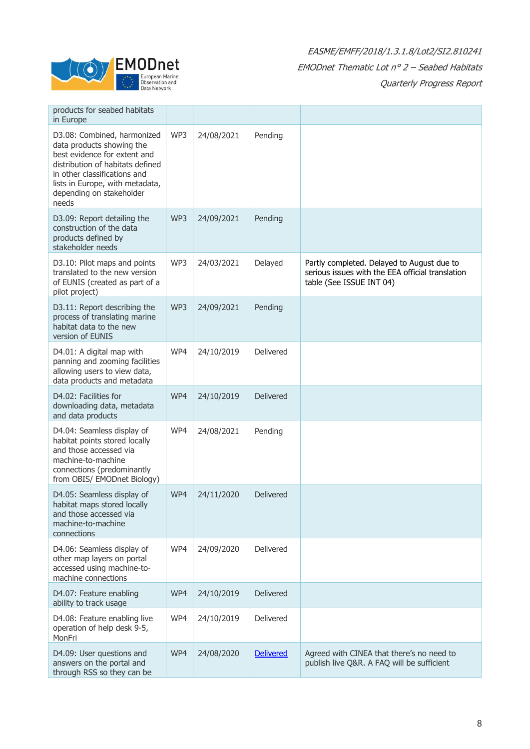

| products for seabed habitats<br>in Europe                                                                                                                                                                                            |     |            |                  |                                                                                                                            |
|--------------------------------------------------------------------------------------------------------------------------------------------------------------------------------------------------------------------------------------|-----|------------|------------------|----------------------------------------------------------------------------------------------------------------------------|
| D3.08: Combined, harmonized<br>data products showing the<br>best evidence for extent and<br>distribution of habitats defined<br>in other classifications and<br>lists in Europe, with metadata,<br>depending on stakeholder<br>needs | WP3 | 24/08/2021 | Pending          |                                                                                                                            |
| D3.09: Report detailing the<br>construction of the data<br>products defined by<br>stakeholder needs                                                                                                                                  | WP3 | 24/09/2021 | Pending          |                                                                                                                            |
| D3.10: Pilot maps and points<br>translated to the new version<br>of EUNIS (created as part of a<br>pilot project)                                                                                                                    | WP3 | 24/03/2021 | Delayed          | Partly completed. Delayed to August due to<br>serious issues with the EEA official translation<br>table (See ISSUE INT 04) |
| D3.11: Report describing the<br>process of translating marine<br>habitat data to the new<br>version of EUNIS                                                                                                                         | WP3 | 24/09/2021 | Pending          |                                                                                                                            |
| D4.01: A digital map with<br>panning and zooming facilities<br>allowing users to view data,<br>data products and metadata                                                                                                            | WP4 | 24/10/2019 | Delivered        |                                                                                                                            |
| D4.02: Facilities for<br>downloading data, metadata<br>and data products                                                                                                                                                             | WP4 | 24/10/2019 | Delivered        |                                                                                                                            |
| D4.04: Seamless display of<br>habitat points stored locally<br>and those accessed via<br>machine-to-machine<br>connections (predominantly<br>from OBIS/ EMODnet Biology)                                                             | WP4 | 24/08/2021 | Pending          |                                                                                                                            |
| D4.05: Seamless display of<br>habitat maps stored locally<br>and those accessed via<br>machine-to-machine<br>connections                                                                                                             | WP4 | 24/11/2020 | <b>Delivered</b> |                                                                                                                            |
| D4.06: Seamless display of<br>other map layers on portal<br>accessed using machine-to-<br>machine connections                                                                                                                        | WP4 | 24/09/2020 | Delivered        |                                                                                                                            |
| D4.07: Feature enabling<br>ability to track usage                                                                                                                                                                                    | WP4 | 24/10/2019 | Delivered        |                                                                                                                            |
| D4.08: Feature enabling live<br>operation of help desk 9-5,<br>MonFri                                                                                                                                                                | WP4 | 24/10/2019 | Delivered        |                                                                                                                            |
| D4.09: User questions and<br>answers on the portal and<br>through RSS so they can be                                                                                                                                                 | WP4 | 24/08/2020 | <b>Delivered</b> | Agreed with CINEA that there's no need to<br>publish live Q&R. A FAQ will be sufficient                                    |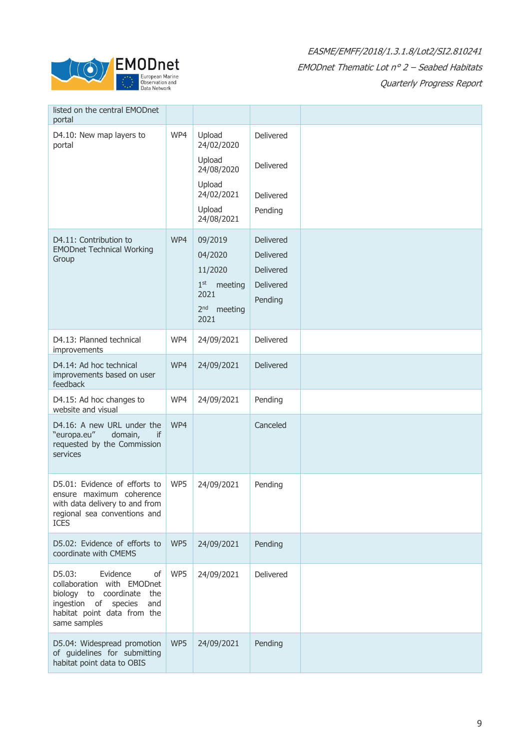

| listed on the central EMODnet<br>portal                                                                                                                           |     |                                                                                                     |                                                             |  |
|-------------------------------------------------------------------------------------------------------------------------------------------------------------------|-----|-----------------------------------------------------------------------------------------------------|-------------------------------------------------------------|--|
| D4.10: New map layers to<br>portal                                                                                                                                | WP4 | Upload<br>24/02/2020<br>Upload<br>24/08/2020                                                        | Delivered<br>Delivered                                      |  |
|                                                                                                                                                                   |     | Upload<br>24/02/2021<br>Upload<br>24/08/2021                                                        | Delivered<br>Pending                                        |  |
| D4.11: Contribution to<br><b>EMODnet Technical Working</b><br>Group                                                                                               | WP4 | 09/2019<br>04/2020<br>11/2020<br>1 <sup>st</sup> meeting<br>2021<br>2 <sup>nd</sup> meeting<br>2021 | Delivered<br>Delivered<br>Delivered<br>Delivered<br>Pending |  |
| D4.13: Planned technical<br>improvements                                                                                                                          | WP4 | 24/09/2021                                                                                          | Delivered                                                   |  |
| D4.14: Ad hoc technical<br>improvements based on user<br>feedback                                                                                                 | WP4 | 24/09/2021                                                                                          | Delivered                                                   |  |
| D4.15: Ad hoc changes to<br>website and visual                                                                                                                    | WP4 | 24/09/2021                                                                                          | Pending                                                     |  |
| D4.16: A new URL under the<br>"europa.eu"<br>domain,<br>if<br>requested by the Commission<br>services                                                             | WP4 |                                                                                                     | Canceled                                                    |  |
| D5.01: Evidence of efforts to<br>ensure maximum coherence<br>with data delivery to and from<br>regional sea conventions and<br><b>ICES</b>                        | WP5 | 24/09/2021                                                                                          | Pending                                                     |  |
| D5.02: Evidence of efforts to<br>coordinate with CMEMS                                                                                                            | WP5 | 24/09/2021                                                                                          | Pending                                                     |  |
| D5.03:<br>Evidence<br>of<br>collaboration with EMODnet<br>biology to coordinate the<br>ingestion of species<br>and<br>habitat point data from the<br>same samples | WP5 | 24/09/2021                                                                                          | Delivered                                                   |  |
| D5.04: Widespread promotion<br>of guidelines for submitting<br>habitat point data to OBIS                                                                         | WP5 | 24/09/2021                                                                                          | Pending                                                     |  |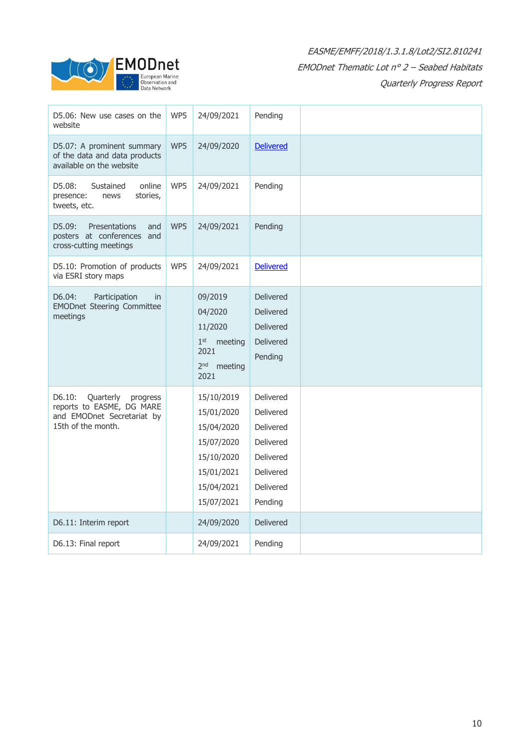

| D5.06: New use cases on the<br>website                                                                           | WP5 | 24/09/2021                                                                                                   | Pending                                                                                            |  |
|------------------------------------------------------------------------------------------------------------------|-----|--------------------------------------------------------------------------------------------------------------|----------------------------------------------------------------------------------------------------|--|
| D5.07: A prominent summary<br>of the data and data products<br>available on the website                          | WP5 | 24/09/2020                                                                                                   | <b>Delivered</b>                                                                                   |  |
| D5.08:<br>online<br>Sustained<br>stories,<br>presence:<br>news<br>tweets, etc.                                   | WP5 | 24/09/2021                                                                                                   | Pending                                                                                            |  |
| D5.09:<br>Presentations<br>and<br>posters at conferences and<br>cross-cutting meetings                           | WP5 | 24/09/2021                                                                                                   | Pending                                                                                            |  |
| D5.10: Promotion of products<br>via ESRI story maps                                                              | WP5 | 24/09/2021                                                                                                   | <b>Delivered</b>                                                                                   |  |
| D6.04:<br>Participation<br>in<br><b>EMODnet Steering Committee</b><br>meetings                                   |     | 09/2019<br>04/2020<br>11/2020<br>$1st$ meeting<br>2021<br>2 <sup>nd</sup> meeting<br>2021                    | Delivered<br><b>Delivered</b><br><b>Delivered</b><br><b>Delivered</b><br>Pending                   |  |
| D6.10:<br>Quarterly<br>progress<br>reports to EASME, DG MARE<br>and EMODnet Secretariat by<br>15th of the month. |     | 15/10/2019<br>15/01/2020<br>15/04/2020<br>15/07/2020<br>15/10/2020<br>15/01/2021<br>15/04/2021<br>15/07/2021 | Delivered<br>Delivered<br>Delivered<br>Delivered<br>Delivered<br>Delivered<br>Delivered<br>Pending |  |
| D6.11: Interim report                                                                                            |     | 24/09/2020                                                                                                   | <b>Delivered</b>                                                                                   |  |
| D6.13: Final report                                                                                              |     | 24/09/2021                                                                                                   | Pending                                                                                            |  |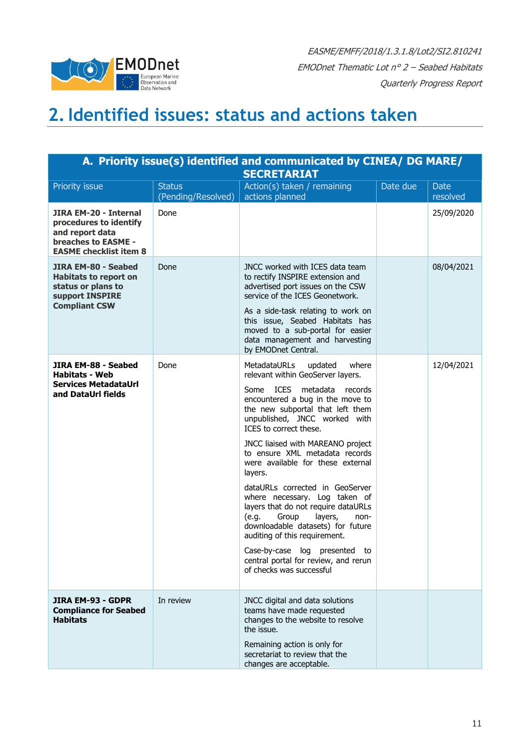

### <span id="page-10-0"></span>**2.Identified issues: status and actions taken**

| A. Priority issue(s) identified and communicated by CINEA/ DG MARE/<br><b>SECRETARIAT</b>                                         |                                     |                                                                                                                                                                                                                                                                                                                                                                                                                                                                                                                                                                                                                                                                                                                 |          |                         |  |  |  |  |  |
|-----------------------------------------------------------------------------------------------------------------------------------|-------------------------------------|-----------------------------------------------------------------------------------------------------------------------------------------------------------------------------------------------------------------------------------------------------------------------------------------------------------------------------------------------------------------------------------------------------------------------------------------------------------------------------------------------------------------------------------------------------------------------------------------------------------------------------------------------------------------------------------------------------------------|----------|-------------------------|--|--|--|--|--|
| Priority issue                                                                                                                    | <b>Status</b><br>(Pending/Resolved) | Action(s) taken / remaining<br>actions planned                                                                                                                                                                                                                                                                                                                                                                                                                                                                                                                                                                                                                                                                  | Date due | <b>Date</b><br>resolved |  |  |  |  |  |
| <b>JIRA EM-20 - Internal</b><br>procedures to identify<br>and report data<br>breaches to EASME -<br><b>EASME checklist item 8</b> | Done                                |                                                                                                                                                                                                                                                                                                                                                                                                                                                                                                                                                                                                                                                                                                                 |          | 25/09/2020              |  |  |  |  |  |
| JIRA EM-80 - Seabed<br><b>Habitats to report on</b><br>status or plans to<br>support INSPIRE<br><b>Compliant CSW</b>              | Done                                | JNCC worked with ICES data team<br>to rectify INSPIRE extension and<br>advertised port issues on the CSW<br>service of the ICES Geonetwork.<br>As a side-task relating to work on<br>this issue, Seabed Habitats has<br>moved to a sub-portal for easier<br>data management and harvesting<br>by EMODnet Central.                                                                                                                                                                                                                                                                                                                                                                                               |          | 08/04/2021              |  |  |  |  |  |
| JIRA EM-88 - Seabed<br><b>Habitats - Web</b><br><b>Services MetadataUrl</b><br>and DataUrl fields                                 | Done                                | <b>MetadataURLs</b><br>where<br>updated<br>relevant within GeoServer layers.<br><b>ICES</b><br>metadata<br>Some<br>records<br>encountered a bug in the move to<br>the new subportal that left them<br>unpublished, JNCC worked with<br>ICES to correct these.<br>JNCC liaised with MAREANO project<br>to ensure XML metadata records<br>were available for these external<br>layers.<br>dataURLs corrected in GeoServer<br>where necessary. Log taken of<br>layers that do not require dataURLs<br>(e.g.<br>Group<br>layers,<br>non-<br>downloadable datasets) for future<br>auditing of this requirement.<br>Case-by-case log presented to<br>central portal for review, and rerun<br>of checks was successful |          | 12/04/2021              |  |  |  |  |  |
| <b>JIRA EM-93 - GDPR</b><br><b>Compliance for Seabed</b><br><b>Habitats</b>                                                       | In review                           | JNCC digital and data solutions<br>teams have made requested<br>changes to the website to resolve<br>the issue.<br>Remaining action is only for<br>secretariat to review that the<br>changes are acceptable.                                                                                                                                                                                                                                                                                                                                                                                                                                                                                                    |          |                         |  |  |  |  |  |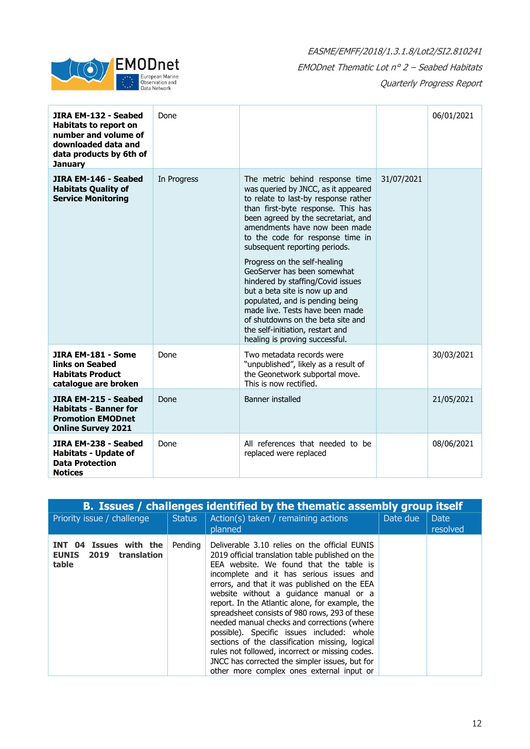

| JIRA EM-132 - Seabed<br><b>Habitats to report on</b><br>number and volume of<br>downloaded data and<br>data products by 6th of<br><b>January</b> | Done        |                                                                                                                                                                                                                                                                                                                                                                                                                                                                                                                                                                                                                         |            | 06/01/2021 |
|--------------------------------------------------------------------------------------------------------------------------------------------------|-------------|-------------------------------------------------------------------------------------------------------------------------------------------------------------------------------------------------------------------------------------------------------------------------------------------------------------------------------------------------------------------------------------------------------------------------------------------------------------------------------------------------------------------------------------------------------------------------------------------------------------------------|------------|------------|
| JIRA EM-146 - Seabed<br><b>Habitats Quality of</b><br><b>Service Monitoring</b>                                                                  | In Progress | The metric behind response time<br>was queried by JNCC, as it appeared<br>to relate to last-by response rather<br>than first-byte response. This has<br>been agreed by the secretariat, and<br>amendments have now been made<br>to the code for response time in<br>subsequent reporting periods.<br>Progress on the self-healing<br>GeoServer has been somewhat<br>hindered by staffing/Covid issues<br>but a beta site is now up and<br>populated, and is pending being<br>made live. Tests have been made<br>of shutdowns on the beta site and<br>the self-initiation, restart and<br>healing is proving successful. | 31/07/2021 |            |
| JIRA EM-181 - Some<br>links on Seabed<br><b>Habitats Product</b><br>catalogue are broken                                                         | Done        | Two metadata records were<br>"unpublished", likely as a result of<br>the Geonetwork subportal move.<br>This is now rectified.                                                                                                                                                                                                                                                                                                                                                                                                                                                                                           |            | 30/03/2021 |
| JIRA EM-215 - Seabed<br><b>Habitats - Banner for</b><br><b>Promotion EMODnet</b><br><b>Online Survey 2021</b>                                    | Done        | <b>Banner installed</b>                                                                                                                                                                                                                                                                                                                                                                                                                                                                                                                                                                                                 |            | 21/05/2021 |
| JIRA EM-238 - Seabed<br><b>Habitats - Update of</b><br><b>Data Protection</b><br><b>Notices</b>                                                  | Done        | All references that needed to be<br>replaced were replaced                                                                                                                                                                                                                                                                                                                                                                                                                                                                                                                                                              |            | 08/06/2021 |

| B. Issues / challenges identified by the thematic assembly group itself |               |                                                                                                                                                                                                                                                                                                                                                                                                                                                                                                                                                                                                                                                                                           |          |                         |  |  |  |
|-------------------------------------------------------------------------|---------------|-------------------------------------------------------------------------------------------------------------------------------------------------------------------------------------------------------------------------------------------------------------------------------------------------------------------------------------------------------------------------------------------------------------------------------------------------------------------------------------------------------------------------------------------------------------------------------------------------------------------------------------------------------------------------------------------|----------|-------------------------|--|--|--|
| Priority issue / challenge                                              | <b>Status</b> | Action(s) taken / remaining actions<br>planned                                                                                                                                                                                                                                                                                                                                                                                                                                                                                                                                                                                                                                            | Date due | <b>Date</b><br>resolved |  |  |  |
| INT 04 Issues with the<br><b>EUNIS</b> 2019<br>translation<br>table     | Pending       | Deliverable 3.10 relies on the official EUNIS<br>2019 official translation table published on the<br>EEA website. We found that the table is<br>incomplete and it has serious issues and<br>errors, and that it was published on the EEA<br>website without a quidance manual or a<br>report. In the Atlantic alone, for example, the<br>spreadsheet consists of 980 rows, 293 of these<br>needed manual checks and corrections (where<br>possible). Specific issues included: whole<br>sections of the classification missing, logical<br>rules not followed, incorrect or missing codes.<br>JNCC has corrected the simpler issues, but for<br>other more complex ones external input or |          |                         |  |  |  |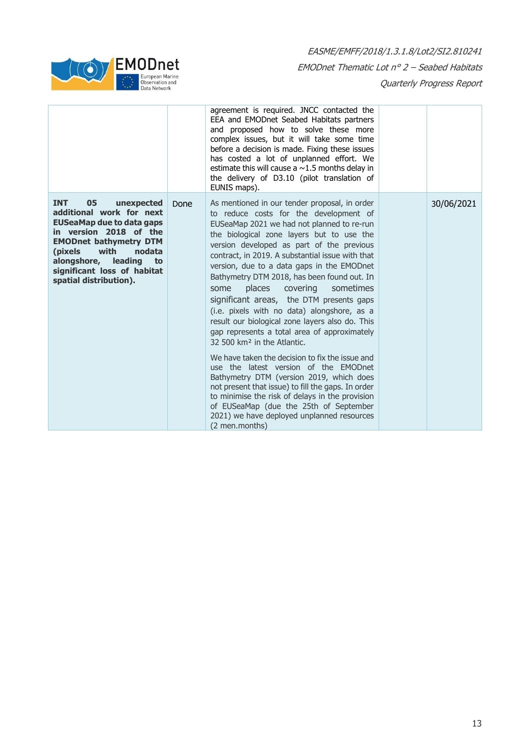

|                                                                                                                                                                                                                                                                                  |      | agreement is required. JNCC contacted the<br>EEA and EMODnet Seabed Habitats partners<br>and proposed how to solve these more<br>complex issues, but it will take some time<br>before a decision is made. Fixing these issues<br>has costed a lot of unplanned effort. We<br>estimate this will cause a $\sim$ 1.5 months delay in<br>the delivery of D3.10 (pilot translation of<br>EUNIS maps).                                                                                                                                                                                                                                                                                                                                                                                                                                                                                                                                                                                                                               |            |
|----------------------------------------------------------------------------------------------------------------------------------------------------------------------------------------------------------------------------------------------------------------------------------|------|---------------------------------------------------------------------------------------------------------------------------------------------------------------------------------------------------------------------------------------------------------------------------------------------------------------------------------------------------------------------------------------------------------------------------------------------------------------------------------------------------------------------------------------------------------------------------------------------------------------------------------------------------------------------------------------------------------------------------------------------------------------------------------------------------------------------------------------------------------------------------------------------------------------------------------------------------------------------------------------------------------------------------------|------------|
| <b>INT</b><br>05<br>unexpected<br>additional work for next<br><b>EUSeaMap due to data gaps</b><br>in version 2018 of the<br><b>EMODnet bathymetry DTM</b><br>with<br>(pixels)<br>nodata<br>alongshore,<br>leading<br>to<br>significant loss of habitat<br>spatial distribution). | Done | As mentioned in our tender proposal, in order<br>to reduce costs for the development of<br>EUSeaMap 2021 we had not planned to re-run<br>the biological zone layers but to use the<br>version developed as part of the previous<br>contract, in 2019. A substantial issue with that<br>version, due to a data gaps in the EMODnet<br>Bathymetry DTM 2018, has been found out. In<br>places<br>covering<br>sometimes<br>some<br>significant areas, the DTM presents gaps<br>(i.e. pixels with no data) alongshore, as a<br>result our biological zone layers also do. This<br>gap represents a total area of approximately<br>32 500 km <sup>2</sup> in the Atlantic.<br>We have taken the decision to fix the issue and<br>use the latest version of the EMODnet<br>Bathymetry DTM (version 2019, which does<br>not present that issue) to fill the gaps. In order<br>to minimise the risk of delays in the provision<br>of EUSeaMap (due the 25th of September<br>2021) we have deployed unplanned resources<br>(2 men.months) | 30/06/2021 |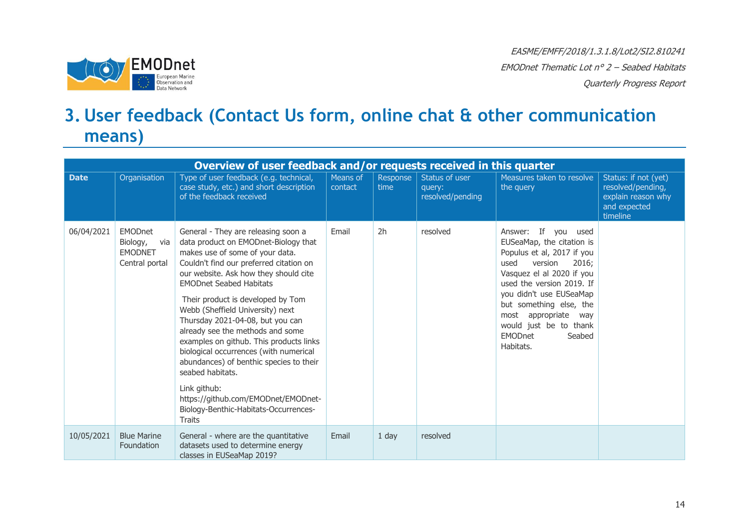

### **3. User feedback (Contact Us form, online chat & other communication means)**

<span id="page-13-0"></span>

| Overview of user feedback and/or requests received in this quarter |                                                                       |                                                                                                                                                                                                                                                                                                                                                                                                                                                                                                                                                                                                                                                            |                     |                  |                                              |                                                                                                                                                                                                                                                                                                                          |                                                                                             |  |  |  |
|--------------------------------------------------------------------|-----------------------------------------------------------------------|------------------------------------------------------------------------------------------------------------------------------------------------------------------------------------------------------------------------------------------------------------------------------------------------------------------------------------------------------------------------------------------------------------------------------------------------------------------------------------------------------------------------------------------------------------------------------------------------------------------------------------------------------------|---------------------|------------------|----------------------------------------------|--------------------------------------------------------------------------------------------------------------------------------------------------------------------------------------------------------------------------------------------------------------------------------------------------------------------------|---------------------------------------------------------------------------------------------|--|--|--|
| <b>Date</b>                                                        | Organisation                                                          | Type of user feedback (e.g. technical,<br>case study, etc.) and short description<br>of the feedback received                                                                                                                                                                                                                                                                                                                                                                                                                                                                                                                                              | Means of<br>contact | Response<br>time | Status of user<br>query:<br>resolved/pending | Measures taken to resolve<br>the query                                                                                                                                                                                                                                                                                   | Status: if not (yet)<br>resolved/pending,<br>explain reason why<br>and expected<br>timeline |  |  |  |
| 06/04/2021                                                         | <b>EMODnet</b><br>Biology,<br>via<br><b>EMODNET</b><br>Central portal | General - They are releasing soon a<br>data product on EMODnet-Biology that<br>makes use of some of your data.<br>Couldn't find our preferred citation on<br>our website. Ask how they should cite<br><b>EMODnet Seabed Habitats</b><br>Their product is developed by Tom<br>Webb (Sheffield University) next<br>Thursday 2021-04-08, but you can<br>already see the methods and some<br>examples on github. This products links<br>biological occurrences (with numerical<br>abundances) of benthic species to their<br>seabed habitats.<br>Link github:<br>https://github.com/EMODnet/EMODnet-<br>Biology-Benthic-Habitats-Occurrences-<br><b>Traits</b> | Email               | 2h               | resolved                                     | Answer: If you used<br>EUSeaMap, the citation is<br>Populus et al, 2017 if you<br>version<br>2016;<br>used<br>Vasquez el al 2020 if you<br>used the version 2019. If<br>you didn't use EUSeaMap<br>but something else, the<br>most appropriate<br>wav<br>would just be to thank<br><b>EMODnet</b><br>Seabed<br>Habitats. |                                                                                             |  |  |  |
| 10/05/2021                                                         | <b>Blue Marine</b><br>Foundation                                      | General - where are the quantitative<br>datasets used to determine energy<br>classes in EUSeaMap 2019?                                                                                                                                                                                                                                                                                                                                                                                                                                                                                                                                                     | Email               | 1 day            | resolved                                     |                                                                                                                                                                                                                                                                                                                          |                                                                                             |  |  |  |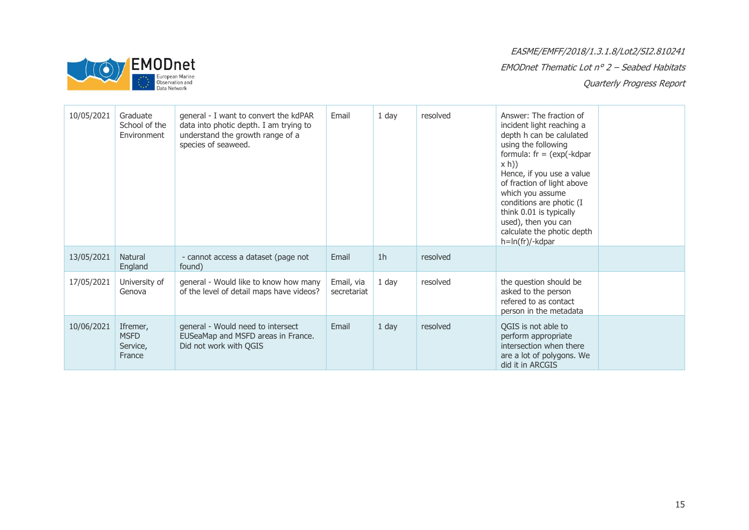

### EASME/EMFF/2018/1.3.1.8/Lot2/SI2.810241 EMODnet Thematic Lot n° 2 – Seabed Habitats

Quarterly Progress Report

| 10/05/2021 | Graduate<br>School of the<br>Environment      | general - I want to convert the kdPAR<br>data into photic depth. I am trying to<br>understand the growth range of a<br>species of seaweed. | Email                     | 1 day          | resolved | Answer: The fraction of<br>incident light reaching a<br>depth h can be calulated<br>using the following<br>formula: $fr = (exp(-kdpar))$<br>x h)<br>Hence, if you use a value<br>of fraction of light above<br>which you assume<br>conditions are photic (I<br>think 0.01 is typically<br>used), then you can<br>calculate the photic depth<br>$h=ln(fr)/-kdpar$ |  |
|------------|-----------------------------------------------|--------------------------------------------------------------------------------------------------------------------------------------------|---------------------------|----------------|----------|------------------------------------------------------------------------------------------------------------------------------------------------------------------------------------------------------------------------------------------------------------------------------------------------------------------------------------------------------------------|--|
| 13/05/2021 | <b>Natural</b><br>England                     | - cannot access a dataset (page not<br>found)                                                                                              | Email                     | 1 <sub>h</sub> | resolved |                                                                                                                                                                                                                                                                                                                                                                  |  |
| 17/05/2021 | University of<br>Genova                       | general - Would like to know how many<br>of the level of detail maps have videos?                                                          | Email, via<br>secretariat | 1 day          | resolved | the question should be<br>asked to the person<br>refered to as contact<br>person in the metadata                                                                                                                                                                                                                                                                 |  |
| 10/06/2021 | Ifremer,<br><b>MSFD</b><br>Service,<br>France | general - Would need to intersect<br>EUSeaMap and MSFD areas in France.<br>Did not work with QGIS                                          | Email                     | $1$ day        | resolved | OGIS is not able to<br>perform appropriate<br>intersection when there<br>are a lot of polygons. We<br>did it in ARCGIS                                                                                                                                                                                                                                           |  |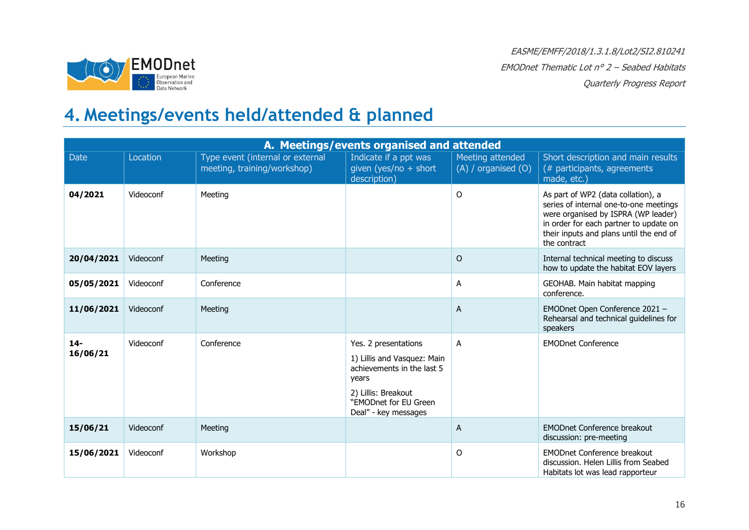

### **4. Meetings/events held/attended & planned**

<span id="page-15-0"></span>

|                    | A. Meetings/events organised and attended |                                                                 |                                                                                                                                                                    |                                             |                                                                                                                                                                                                                          |  |  |
|--------------------|-------------------------------------------|-----------------------------------------------------------------|--------------------------------------------------------------------------------------------------------------------------------------------------------------------|---------------------------------------------|--------------------------------------------------------------------------------------------------------------------------------------------------------------------------------------------------------------------------|--|--|
| <b>Date</b>        | Location                                  | Type event (internal or external<br>meeting, training/workshop) | Indicate if a ppt was<br>given (yes/no + short<br>description)                                                                                                     | Meeting attended<br>$(A)$ / organised $(O)$ | Short description and main results<br>(# participants, agreements<br>made, etc.)                                                                                                                                         |  |  |
| 04/2021            | Videoconf                                 | Meeting                                                         |                                                                                                                                                                    | O                                           | As part of WP2 (data collation), a<br>series of internal one-to-one meetings<br>were organised by ISPRA (WP leader)<br>in order for each partner to update on<br>their inputs and plans until the end of<br>the contract |  |  |
| 20/04/2021         | Videoconf                                 | Meeting                                                         |                                                                                                                                                                    | $\circ$                                     | Internal technical meeting to discuss<br>how to update the habitat EOV layers                                                                                                                                            |  |  |
| 05/05/2021         | Videoconf                                 | Conference                                                      |                                                                                                                                                                    | A                                           | GEOHAB. Main habitat mapping<br>conference.                                                                                                                                                                              |  |  |
| 11/06/2021         | Videoconf                                 | Meeting                                                         |                                                                                                                                                                    | $\overline{A}$                              | EMODnet Open Conference 2021 -<br>Rehearsal and technical guidelines for<br>speakers                                                                                                                                     |  |  |
| $14 -$<br>16/06/21 | Videoconf                                 | Conference                                                      | Yes. 2 presentations<br>1) Lillis and Vasquez: Main<br>achievements in the last 5<br>years<br>2) Lillis: Breakout<br>"EMODnet for EU Green<br>Deal" - key messages | A                                           | <b>EMODnet Conference</b>                                                                                                                                                                                                |  |  |
| 15/06/21           | Videoconf                                 | Meeting                                                         |                                                                                                                                                                    | $\overline{A}$                              | <b>EMODnet Conference breakout</b><br>discussion: pre-meeting                                                                                                                                                            |  |  |
| 15/06/2021         | Videoconf                                 | Workshop                                                        |                                                                                                                                                                    | 0                                           | <b>EMODnet Conference breakout</b><br>discussion. Helen Lillis from Seabed<br>Habitats lot was lead rapporteur                                                                                                           |  |  |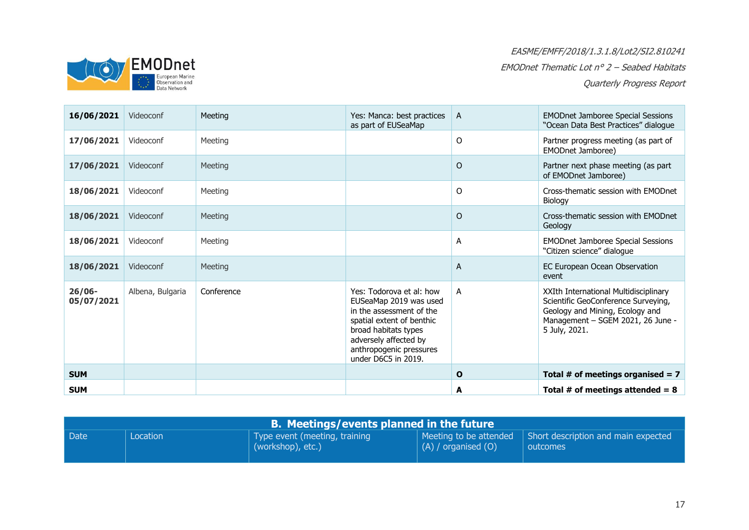

| 16/06/2021              | Videoconf        | Meeting    | Yes: Manca: best practices<br>as part of EUSeaMap                                                                                                                                                              | A            | <b>EMODnet Jamboree Special Sessions</b><br>"Ocean Data Best Practices" dialogue                                                                                      |
|-------------------------|------------------|------------|----------------------------------------------------------------------------------------------------------------------------------------------------------------------------------------------------------------|--------------|-----------------------------------------------------------------------------------------------------------------------------------------------------------------------|
| 17/06/2021              | Videoconf        | Meeting    |                                                                                                                                                                                                                | O            | Partner progress meeting (as part of<br>EMODnet Jamboree)                                                                                                             |
| 17/06/2021              | Videoconf        | Meeting    |                                                                                                                                                                                                                | $\Omega$     | Partner next phase meeting (as part<br>of EMODnet Jamboree)                                                                                                           |
| 18/06/2021              | Videoconf        | Meeting    |                                                                                                                                                                                                                | 0            | Cross-thematic session with EMODnet<br>Biology                                                                                                                        |
| 18/06/2021              | Videoconf        | Meeting    |                                                                                                                                                                                                                | $\Omega$     | Cross-thematic session with EMODnet<br>Geology                                                                                                                        |
| 18/06/2021              | Videoconf        | Meeting    |                                                                                                                                                                                                                | A            | <b>EMODnet Jamboree Special Sessions</b><br>"Citizen science" dialogue                                                                                                |
| 18/06/2021              | Videoconf        | Meeting    |                                                                                                                                                                                                                | A            | EC European Ocean Observation<br>event                                                                                                                                |
| $26/06 -$<br>05/07/2021 | Albena, Bulgaria | Conference | Yes: Todorova et al: how<br>EUSeaMap 2019 was used<br>in the assessment of the<br>spatial extent of benthic<br>broad habitats types<br>adversely affected by<br>anthropogenic pressures<br>under D6C5 in 2019. | A            | XXIth International Multidisciplinary<br>Scientific GeoConference Surveying,<br>Geology and Mining, Ecology and<br>Management - SGEM 2021, 26 June -<br>5 July, 2021. |
| <b>SUM</b>              |                  |            |                                                                                                                                                                                                                | $\mathbf{o}$ | Total # of meetings organised = $7$                                                                                                                                   |
| <b>SUM</b>              |                  |            |                                                                                                                                                                                                                | A            | Total # of meetings attended = $8$                                                                                                                                    |

| <b>B. Meetings/events planned in the future \</b> |          |                                                    |                         |                                                                                        |  |  |
|---------------------------------------------------|----------|----------------------------------------------------|-------------------------|----------------------------------------------------------------------------------------|--|--|
| Date                                              | Location | Type event (meeting, training<br>(workshop), etc.) | $(A)$ / organised $(O)$ | $\vert$ Meeting to be attended $\vert$ Short description and main expected<br>outcomes |  |  |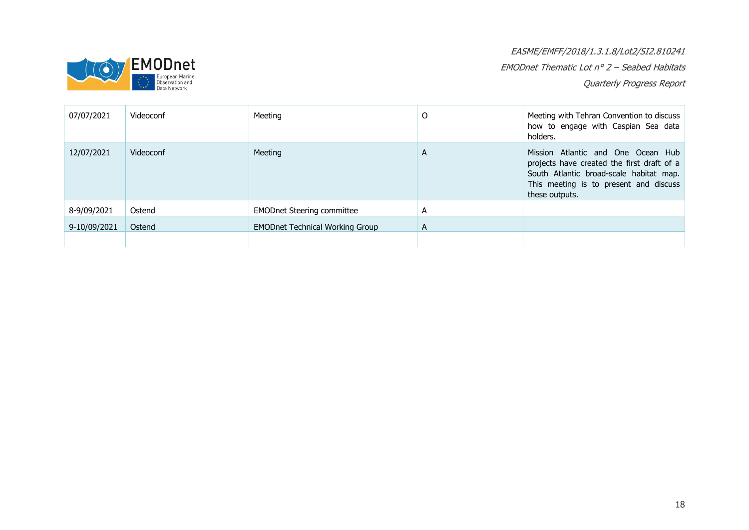

EASME/EMFF/2018/1.3.1.8/Lot2/SI2.810241 EMODnet Thematic Lot n° 2 – Seabed Habitats

Quarterly Progress Report

| 07/07/2021   | Videoconf | Meeting                                | O | Meeting with Tehran Convention to discuss<br>how to engage with Caspian Sea data<br>holders.                                                                                            |
|--------------|-----------|----------------------------------------|---|-----------------------------------------------------------------------------------------------------------------------------------------------------------------------------------------|
| 12/07/2021   | Videoconf | Meeting                                | A | Mission Atlantic and One Ocean Hub<br>projects have created the first draft of a<br>South Atlantic broad-scale habitat map.<br>This meeting is to present and discuss<br>these outputs. |
| 8-9/09/2021  | Ostend    | <b>EMODnet Steering committee</b>      | А |                                                                                                                                                                                         |
| 9-10/09/2021 | Ostend    | <b>EMODnet Technical Working Group</b> | A |                                                                                                                                                                                         |
|              |           |                                        |   |                                                                                                                                                                                         |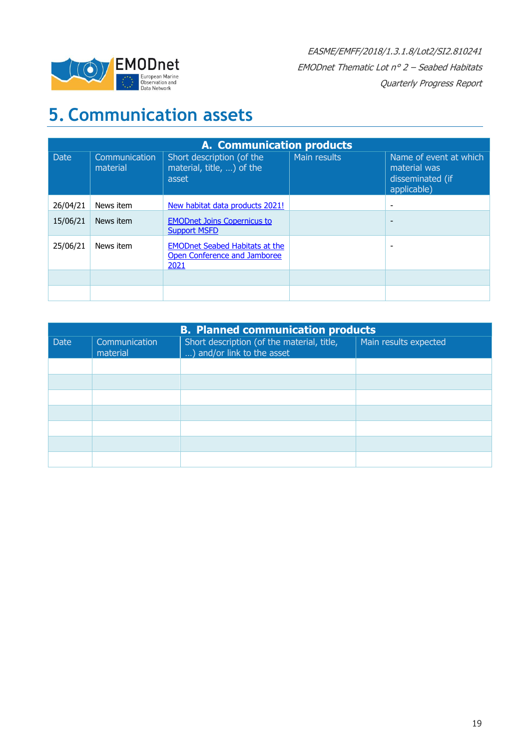

## <span id="page-18-0"></span>**5. Communication assets**

|             | <b>A. Communication products</b> |                                                                               |              |                                                                           |  |  |
|-------------|----------------------------------|-------------------------------------------------------------------------------|--------------|---------------------------------------------------------------------------|--|--|
| <b>Date</b> | Communication<br>material        | Short description (of the<br>material, title, ) of the<br>asset               | Main results | Name of event at which<br>material was<br>disseminated (if<br>applicable) |  |  |
| 26/04/21    | News item                        | New habitat data products 2021!                                               |              |                                                                           |  |  |
| 15/06/21    | News item                        | <b>EMODnet Joins Copernicus to</b><br><b>Support MSFD</b>                     |              | $\overline{\phantom{a}}$                                                  |  |  |
| 25/06/21    | News item                        | <b>EMODnet Seabed Habitats at the</b><br>Open Conference and Jamboree<br>2021 |              |                                                                           |  |  |
|             |                                  |                                                                               |              |                                                                           |  |  |
|             |                                  |                                                                               |              |                                                                           |  |  |

| <b>B. Planned communication products</b> |                           |                                                                          |                       |  |  |
|------------------------------------------|---------------------------|--------------------------------------------------------------------------|-----------------------|--|--|
| <b>Date</b>                              | Communication<br>material | Short description (of the material, title,<br>) and/or link to the asset | Main results expected |  |  |
|                                          |                           |                                                                          |                       |  |  |
|                                          |                           |                                                                          |                       |  |  |
|                                          |                           |                                                                          |                       |  |  |
|                                          |                           |                                                                          |                       |  |  |
|                                          |                           |                                                                          |                       |  |  |
|                                          |                           |                                                                          |                       |  |  |
|                                          |                           |                                                                          |                       |  |  |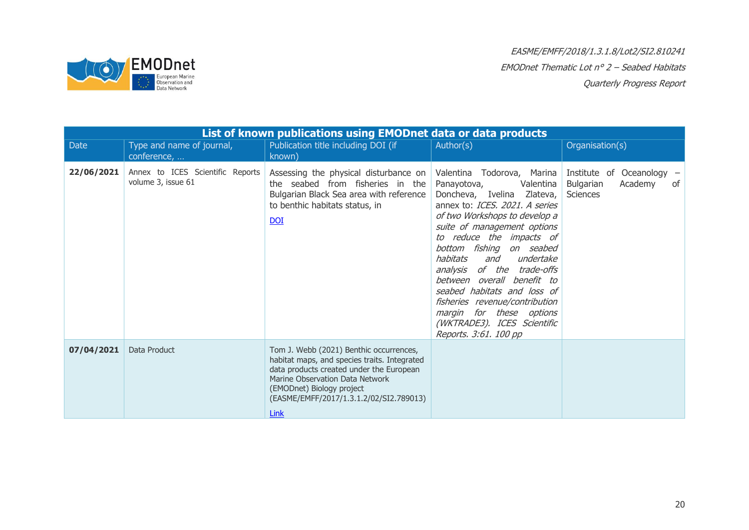

|            | List of known publications using EMODnet data or data products |                                                                                                                                                                                                                                                        |                                                                                                                                                                                                                                                                                                                                                                                                                                                                                                       |                                                                            |  |  |
|------------|----------------------------------------------------------------|--------------------------------------------------------------------------------------------------------------------------------------------------------------------------------------------------------------------------------------------------------|-------------------------------------------------------------------------------------------------------------------------------------------------------------------------------------------------------------------------------------------------------------------------------------------------------------------------------------------------------------------------------------------------------------------------------------------------------------------------------------------------------|----------------------------------------------------------------------------|--|--|
| Date       | Type and name of journal,<br>conference,                       | Publication title including DOI (if<br>known)                                                                                                                                                                                                          | Author(s)                                                                                                                                                                                                                                                                                                                                                                                                                                                                                             | Organisation(s)                                                            |  |  |
| 22/06/2021 | Annex to ICES Scientific Reports<br>volume 3, issue 61         | Assessing the physical disturbance on<br>the seabed from fisheries in the<br>Bulgarian Black Sea area with reference<br>to benthic habitats status, in<br>$\underline{DOI}$                                                                            | Valentina Todorova, Marina<br>Panayotova,<br>Valentina<br>Doncheva, Ivelina Zlateva,<br>annex to: ICES. 2021. A series<br>of two Workshops to develop a<br>suite of management options<br>to reduce the impacts of<br>bottom fishing<br>on seabed<br>habitats<br>undertake<br>and<br>of the trade-offs<br>analysis<br>between overall benefit to<br>seabed habitats and loss of<br>fisheries revenue/contribution<br>margin for these options<br>(WKTRADE3). ICES Scientific<br>Reports. 3:61. 100 pp | Institute of Oceanology -<br>Bulgarian<br>Academy<br>of<br><b>Sciences</b> |  |  |
| 07/04/2021 | Data Product                                                   | Tom J. Webb (2021) Benthic occurrences,<br>habitat maps, and species traits. Integrated<br>data products created under the European<br>Marine Observation Data Network<br>(EMODnet) Biology project<br>(EASME/EMFF/2017/1.3.1.2/02/SI2.789013)<br>Link |                                                                                                                                                                                                                                                                                                                                                                                                                                                                                                       |                                                                            |  |  |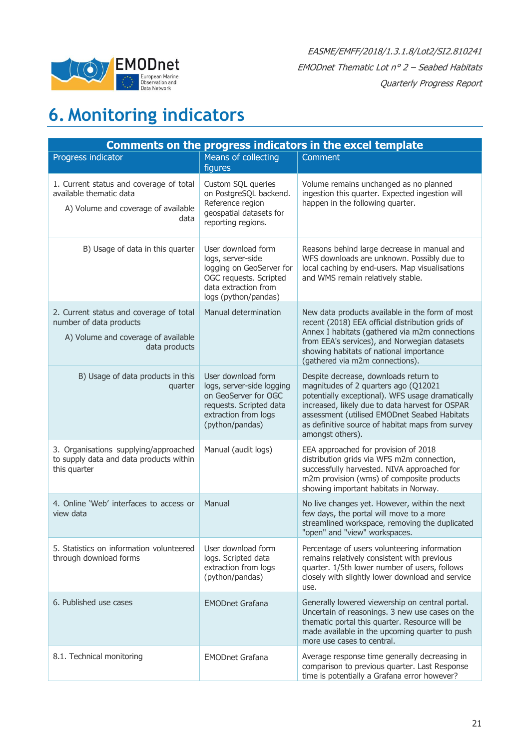

## <span id="page-20-0"></span>**6. Monitoring indicators**

| <b>Comments on the progress indicators in the excel template</b>                                                           |                                                                                                                                               |                                                                                                                                                                                                                                                                                                              |  |  |  |
|----------------------------------------------------------------------------------------------------------------------------|-----------------------------------------------------------------------------------------------------------------------------------------------|--------------------------------------------------------------------------------------------------------------------------------------------------------------------------------------------------------------------------------------------------------------------------------------------------------------|--|--|--|
| Progress indicator                                                                                                         | Means of collecting<br>figures                                                                                                                | Comment                                                                                                                                                                                                                                                                                                      |  |  |  |
| 1. Current status and coverage of total<br>available thematic data<br>A) Volume and coverage of available<br>data          | Custom SQL queries<br>on PostgreSQL backend.<br>Reference region<br>geospatial datasets for<br>reporting regions.                             | Volume remains unchanged as no planned<br>ingestion this quarter. Expected ingestion will<br>happen in the following quarter.                                                                                                                                                                                |  |  |  |
| B) Usage of data in this quarter                                                                                           | User download form<br>logs, server-side<br>logging on GeoServer for<br>OGC requests. Scripted<br>data extraction from<br>logs (python/pandas) | Reasons behind large decrease in manual and<br>WFS downloads are unknown. Possibly due to<br>local caching by end-users. Map visualisations<br>and WMS remain relatively stable.                                                                                                                             |  |  |  |
| 2. Current status and coverage of total<br>number of data products<br>A) Volume and coverage of available<br>data products | Manual determination                                                                                                                          | New data products available in the form of most<br>recent (2018) EEA official distribution grids of<br>Annex I habitats (gathered via m2m connections<br>from EEA's services), and Norwegian datasets<br>showing habitats of national importance<br>(gathered via m2m connections).                          |  |  |  |
| B) Usage of data products in this<br>quarter                                                                               | User download form<br>logs, server-side logging<br>on GeoServer for OGC<br>requests. Scripted data<br>extraction from logs<br>(python/pandas) | Despite decrease, downloads return to<br>magnitudes of 2 quarters ago (Q12021<br>potentially exceptional). WFS usage dramatically<br>increased, likely due to data harvest for OSPAR<br>assessment (utilised EMODnet Seabed Habitats<br>as definitive source of habitat maps from survey<br>amongst others). |  |  |  |
| 3. Organisations supplying/approached<br>to supply data and data products within<br>this quarter                           | Manual (audit logs)                                                                                                                           | EEA approached for provision of 2018<br>distribution grids via WFS m2m connection,<br>successfully harvested. NIVA approached for<br>m2m provision (wms) of composite products<br>showing important habitats in Norway.                                                                                      |  |  |  |
| 4. Online 'Web' interfaces to access or<br>view data                                                                       | Manual                                                                                                                                        | No live changes yet. However, within the next<br>few days, the portal will move to a more<br>streamlined workspace, removing the duplicated<br>"open" and "view" workspaces.                                                                                                                                 |  |  |  |
| 5. Statistics on information volunteered<br>through download forms                                                         | User download form<br>logs. Scripted data<br>extraction from logs<br>(python/pandas)                                                          | Percentage of users volunteering information<br>remains relatively consistent with previous<br>quarter. 1/5th lower number of users, follows<br>closely with slightly lower download and service<br>use.                                                                                                     |  |  |  |
| 6. Published use cases                                                                                                     | <b>EMODnet Grafana</b>                                                                                                                        | Generally lowered viewership on central portal.<br>Uncertain of reasonings. 3 new use cases on the<br>thematic portal this quarter. Resource will be<br>made available in the upcoming quarter to push<br>more use cases to central.                                                                         |  |  |  |
| 8.1. Technical monitoring                                                                                                  | <b>EMODnet Grafana</b>                                                                                                                        | Average response time generally decreasing in<br>comparison to previous quarter. Last Response<br>time is potentially a Grafana error however?                                                                                                                                                               |  |  |  |